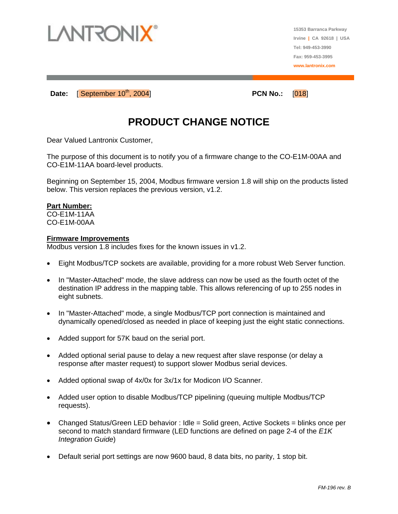

**15353 Barranca Parkway Irvine | CA 92618 | USA Tel: 949-453-3990 Fax: 959-453-3995 www.lantronix.com**

**Date: September 10<sup>th</sup>, 2004 PCN No.: [018]** 

## **PRODUCT CHANGE NOTICE**

Dear Valued Lantronix Customer,

The purpose of this document is to notify you of a firmware change to the CO-E1M-00AA and CO-E1M-11AA board-level products.

Beginning on September 15, 2004, Modbus firmware version 1.8 will ship on the products listed below. This version replaces the previous version, v1.2.

## **Part Number:**

CO-E1M-11AA CO-E1M-00AA

## **Firmware Improvements**

Modbus version 1.8 includes fixes for the known issues in v1.2.

- Eight Modbus/TCP sockets are available, providing for a more robust Web Server function.
- In "Master-Attached" mode, the slave address can now be used as the fourth octet of the destination IP address in the mapping table. This allows referencing of up to 255 nodes in eight subnets.
- In "Master-Attached" mode, a single Modbus/TCP port connection is maintained and dynamically opened/closed as needed in place of keeping just the eight static connections.
- Added support for 57K baud on the serial port.
- Added optional serial pause to delay a new request after slave response (or delay a response after master request) to support slower Modbus serial devices.
- Added optional swap of 4x/0x for 3x/1x for Modicon I/O Scanner.
- Added user option to disable Modbus/TCP pipelining (queuing multiple Modbus/TCP) requests).
- Changed Status/Green LED behavior : Idle = Solid green, Active Sockets = blinks once per second to match standard firmware (LED functions are defined on page 2-4 of the *E1K Integration Guide*)
- Default serial port settings are now 9600 baud, 8 data bits, no parity, 1 stop bit.